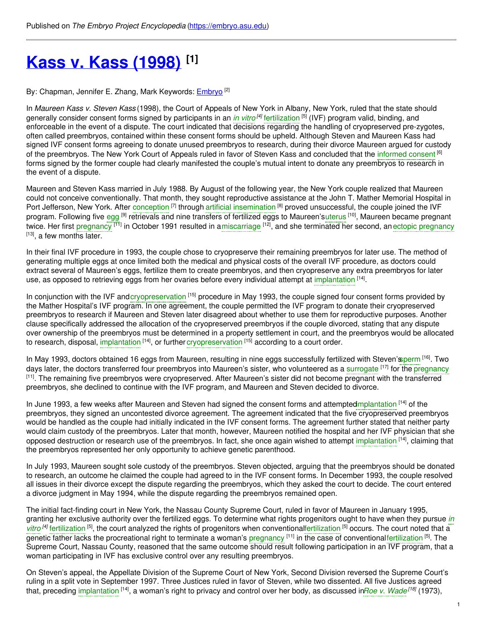# **Kass v. Kass [\(1998\)](https://embryo.asu.edu/pages/kass-v-kass-1998) [1]**

By: Chapman, Jennifer E. Zhang, Mark Keywords: [Embryo](https://embryo.asu.edu/keywords/embryo) <sup>[2]</sup>

In *Maureen Kass v. Steven Kass* (1998), the Court of Appeals of New York in Albany, New York, ruled that the state should generally consider consent forms signed by participants in an *in [vitro](https://embryo.asu.edu/search?text=in%20vitro)<sup>[4]</sup>* [fertilization](https://embryo.asu.edu/search?text=fertilization) <sup>[5]</sup> (IVF) program valid, binding, and enforceable in the event of a dispute. The court indicated that decisions regarding the handling of cryopreserved pre-zygotes, often called preembryos, contained within these consent forms should be upheld. Although Steven and Maureen Kass had signed IVF consent forms agreeing to donate unused preembryos to research, during their divorce Maureen argued for custody of the preembryos. The New York Court of Appeals ruled in favor of Steven Kass and concluded that the [informed](https://embryo.asu.edu/search?text=informed%20consent) consent <sup>[6]</sup> forms signed by the former couple had clearly manifested the couple's mutual intent to donate any preembryos to research in the event of a dispute.

Maureen and Steven Kass married in July 1988. By August of the following year, the New York couple realized that Maureen could not conceive conventionally. That month, they sought reproductive assistance at the John T. Mather Memorial Hospital in Port Jefferson, New York. After [conception](https://embryo.asu.edu/search?text=conception) <sup>[7]</sup> through artificial [insemination](https://embryo.asu.edu/search?text=artificial%20insemination) <sup>[8]</sup> proved unsuccessful, the couple joined the IVF program. Following five [egg](https://embryo.asu.edu/search?text=egg) <sup>[9]</sup> retrievals and nine transfers of fertilized eggs to Maureen'[suterus](https://embryo.asu.edu/search?text=uterus) <sup>[10]</sup>, Maureen became pregnant twice. Her first [pregnancy](https://embryo.asu.edu/search?text=ectopic%20pregnancy) <sup>[11]</sup> in October 1991 resulted in [amiscarriage](https://embryo.asu.edu/search?text=miscarriage) <sup>[12]</sup>, and she terminated her second, anectopic pregnancy <sup>[13]</sup>, a few months later.

In their final IVF procedure in 1993, the couple chose to cryopreserve their remaining preembryos for later use. The method of generating multiple eggs at once limited both the medical and physical costs of the overall IVF procedure, as doctors could extract several of Maureen's eggs, fertilize them to create preembryos, and then cryopreserve any extra preembryos for later use, as opposed to retrieving eggs from her ovaries before every individual attempt at [implantation](https://embryo.asu.edu/search?text=implantation) [14].

In conjunction with the IVF and[cryopreservation](https://embryo.asu.edu/search?text=cryopreservation) <sup>[15]</sup> procedure in May 1993, the couple signed four consent forms provided by the Mather Hospital's IVF program. In one agreement, the couple permitted the IVF program to donate their cryopreserved preembryos to research if Maureen and Steven later disagreed about whether to use them for reproductive purposes. Another clause specifically addressed the allocation of the cryopreserved preembryos if the couple divorced, stating that any dispute over ownership of the preembryos must be determined in a property settlement in court, and the preembryos would be allocated to research, disposal, [implantation](https://embryo.asu.edu/search?text=implantation) <sup>[14]</sup>, or further [cryopreservation](https://embryo.asu.edu/search?text=cryopreservation) <sup>[15]</sup> according to a court order.

In May 1993, doctors obtained 16 eggs from Maureen, resulting in nine eggs successfully fertilized with Steven's perm [16]. Two days later, the doctors transferred four preembryos into Maureen's sister, who volunteered as a [surrogate](https://embryo.asu.edu/search?text=surrogate) <sup>[17]</sup> for the [pregnancy](https://embryo.asu.edu/search?text=pregnancy) [11]. The remaining five preembryos were cryopreserved. After Maureen's sister did not become pregnant with the transferred preembryos, she declined to continue with the IVF program, and Maureen and Steven decided to divorce.

In June 1993, a few weeks after Maureen and Steven had signed the consent forms and attemptedmplantation [14] of the preembryos, they signed an uncontested divorce agreement. The agreement indicated that the five cryopreserved preembryos would be handled as the couple had initially indicated in the IVF consent forms. The agreement further stated that neither party would claim custody of the preembryos. Later that month, however, Maureen notified the hospital and her IVF physician that she opposed destruction or research use of the preembryos. In fact, she once again wished to attempt [implantation](https://embryo.asu.edu/search?text=implantation) <sup>[14]</sup>, claiming that the preembryos represented her only opportunity to achieve genetic parenthood.

In July 1993, Maureen sought sole custody of the preembryos. Steven objected, arguing that the preembryos should be donated to research, an outcome he claimed the couple had agreed to in the IVF consent forms. In December 1993, the couple resolved all issues in their divorce except the dispute regarding the preembryos, which they asked the court to decide. The court entered a divorce judgment in May 1994, while the dispute regarding the preembryos remained open.

The initial fact-finding court in New York, the Nassau County Supreme Court, ruled in favor of Maureen in January 1995, granting her exclusive authority over the fertilized eggs. To determine what rights progenitors ought to have when they pursue *in* vitro<sup>[4]</sup> [fertilization](https://embryo.asu.edu/search?text=fertilization)<sup>[5]</sup>, the court analyzed the rights of progenitors when [conventionalfertilization](https://embryo.asu.edu/search?text=in%20vitro)<sup>[5]</sup> occurs. The court noted that a genetic father lacks the procreational right to terminate a woman's [pregnancy](https://embryo.asu.edu/search?text=pregnancy) <sup>[11]</sup> in the case of conventional[fertilization](https://embryo.asu.edu/search?text=fertilization) <sup>[5]</sup>. The Supreme Court, Nassau County, reasoned that the same outcome should result following participation in an IVF program, that a woman participating in IVF has exclusive control over any resulting preembryos.

On Steven's appeal, the Appellate Division of the Supreme Court of New York, Second Division reversed the Supreme Court's ruling in a split vote in September 1997. Three Justices ruled in favor of Steven, while two dissented. All five Justices agreed that, preceding [implantation](https://embryo.asu.edu/search?text=implantation) <sup>[14]</sup>, a woman's right to privacy and control over her body, as discussed in*Roe v. [Wade](https://embryo.asu.edu/search?text=Roe%20v.%20Wade)<sup>[18]</sup>* (1973),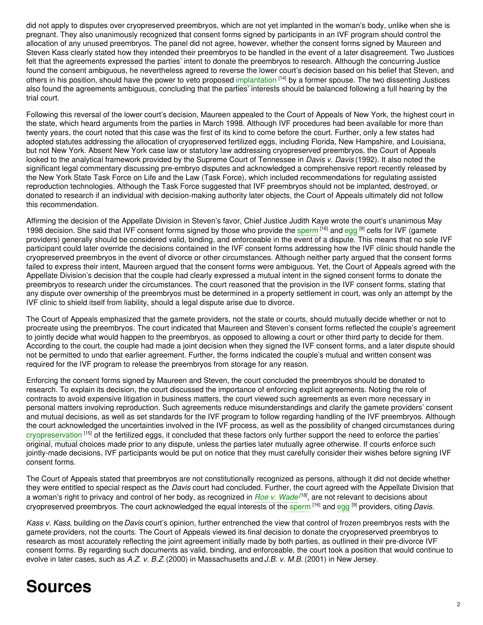did not apply to disputes over cryopreserved preembryos, which are not yet implanted in the woman's body, unlike when she is pregnant. They also unanimously recognized that consent forms signed by participants in an IVF program should control the allocation of any unused preembryos. The panel did not agree, however, whether the consent forms signed by Maureen and Steven Kass clearly stated how they intended their preembryos to be handled in the event of a later disagreement. Two Justices felt that the agreements expressed the parties' intent to donate the preembryos to research. Although the concurring Justice found the consent ambiguous, he nevertheless agreed to reverse the lower court's decision based on his belief that Steven, and others in his position, should have the power to veto proposed [implantation](https://embryo.asu.edu/search?text=implantation) [14] by a former spouse. The two dissenting Justices also found the agreements ambiguous, concluding that the parties' interests should be balanced following a full hearing by the trial court.

Following this reversal of the lower court's decision, Maureen appealed to the Court of Appeals of New York, the highest court in the state, which heard arguments from the parties in March 1998. Although IVF procedures had been available for more than twenty years, the court noted that this case was the first of its kind to come before the court. Further, only a few states had adopted statutes addressing the allocation of cryopreserved fertilized eggs, including Florida, New Hampshire, and Louisiana, but not New York. Absent New York case law or statutory law addressing cryopreserved preembryos, the Court of Appeals looked to the analytical framework provided by the Supreme Court of Tennessee in *Davis v. Davis* (1992). It also noted the significant legal commentary discussing pre-embryo disputes and acknowledged a comprehensive report recently released by the New York State Task Force on Life and the Law (Task Force), which included recommendations for regulating assisted reproduction technologies. Although the Task Force suggested that IVF preembryos should not be implanted, destroyed, or donated to research if an individual with decision-making authority later objects, the Court of Appeals ultimately did not follow this recommendation.

Affirming the decision of the Appellate Division in Steven's favor, Chief Justice Judith Kaye wrote the court's unanimous May 1998 decision. She said that IVF consent forms signed by those who provide the [sperm](https://embryo.asu.edu/search?text=sperm) <sup>[16]</sup> and [egg](https://embryo.asu.edu/search?text=egg) <sup>[9]</sup> cells for IVF (gamete providers) generally should be considered valid, binding, and enforceable in the event of a dispute. This means that no sole IVF participant could later override the decisions contained in the IVF consent forms addressing how the IVF clinic should handle the cryopreserved preembryos in the event of divorce or other circumstances. Although neither party argued that the consent forms failed to express their intent, Maureen argued that the consent forms were ambiguous. Yet, the Court of Appeals agreed with the Appellate Division's decision that the couple had clearly expressed a mutual intent in the signed consent forms to donate the preembryos to research under the circumstances. The court reasoned that the provision in the IVF consent forms, stating that any dispute over ownership of the preembryos must be determined in a property settlement in court, was only an attempt by the IVF clinic to shield itself from liability, should a legal dispute arise due to divorce.

The Court of Appeals emphasized that the gamete providers, not the state or courts, should mutually decide whether or not to procreate using the preembryos. The court indicated that Maureen and Steven's consent forms reflected the couple's agreement to jointly decide what would happen to the preembryos, as opposed to allowing a court or other third party to decide for them. According to the court, the couple had made a joint decision when they signed the IVF consent forms, and a later dispute should not be permitted to undo that earlier agreement. Further, the forms indicated the couple's mutual and written consent was required for the IVF program to release the preembryos from storage for any reason.

Enforcing the consent forms signed by Maureen and Steven, the court concluded the preembryos should be donated to research. To explain its decision, the court discussed the importance of enforcing explicit agreements. Noting the role of contracts to avoid expensive litigation in business matters, the court viewed such agreements as even more necessary in personal matters involving reproduction. Such agreements reduce misunderstandings and clarify the gamete providers' consent and mutual decisions, as well as set standards for the IVF program to follow regarding handling of the IVF preembryos. Although the court acknowledged the uncertainties involved in the IVF process, as well as the possibility of changed circumstances during [cryopreservation](https://embryo.asu.edu/search?text=cryopreservation) [15] of the fertilized eggs, it concluded that these factors only further support the need to enforce the parties' original, mutual choices made prior to any dispute, unless the parties later mutually agree otherwise. If courts enforce such jointly-made decisions, IVF participants would be put on notice that they must carefully consider their wishes before signing IVF consent forms.

The Court of Appeals stated that preembryos are not constitutionally recognized as persons, although it did not decide whether they were entitled to special respect as the *Davis* court had concluded. Further, the court agreed with the Appellate Division that a woman's right to privacy and control of her body, as recognized in *Roe v. [Wade](https://embryo.asu.edu/search?text=Roe%20v.%20Wade) [18]* , are not relevant to decisions about cryopreserved preembryos. The court acknowledged the equal interests of the [sperm](https://embryo.asu.edu/search?text=sperm) [16] and [egg](https://embryo.asu.edu/search?text=egg) [9] providers, citing *Davis*.

*Kass v. Kass*, building on the*Davis* court's opinion, further entrenched the view that control of frozen preembryos rests with the gamete providers, not the courts. The Court of Appeals viewed its final decision to donate the cryopreserved preembryos to research as most accurately reflecting the joint agreement initially made by both parties, as outlined in their pre-divorce IVF consent forms. By regarding such documents as valid, binding, and enforceable, the court took a position that would continue to evolve in later cases, such as *A.Z. v. B.Z.*(2000) in Massachusetts and *J.B. v. M.B.* (2001) in New Jersey.

## **Sources**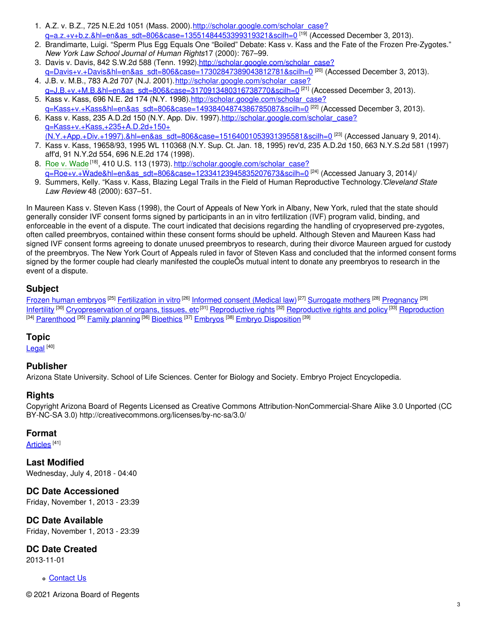- 1. A.Z. v. B.Z., 725 N.E.2d 1051 (Mass. 2000).http://scholar.google.com/scholar\_case? <u>[q=a.z.+v+b.z.&hl=en&as\\_sdt=806&case=13551484453399319321&scilh=0](http://scholar.google.com/scholar_case?q=a.z.+v+b.z.&hl=en&as_sdt=806&case=13551484453399319321&scilh=0)</u> <sup>[19]</sup> (Accessed December 3, 2013).
- 2. Brandimarte, Luigi. "Sperm Plus Egg Equals One "Boiled" Debate: Kass v. Kass and the Fate of the Frozen Pre-Zygotes." *New York Law School Journal of Human Rights*17 (2000): 767–99.
- 3. Davis v. Davis, 842 S.W.2d 588 (Tenn. 1992).http://scholar.google.com/scholar\_case? <u>[q=Davis+v.+Davis&hl=en&as\\_sdt=806&case=17302847389043812781&scilh=0](http://scholar.google.com/scholar_case?q=Davis+v.+Davis&hl=en&as_sdt=806&case=17302847389043812781&scilh=0)</u> <sup>[20]</sup> (Accessed December 3, 2013).
- 4. J.B. v. M.B., 783 A.2d 707 (N.J. 2001).http://scholar.google.com/scholar\_case? <u>[q=J.B.+v.+M.B.&hl=en&as\\_sdt=806&case=3170913480316738770&scilh=0](http://scholar.google.com/scholar_case?q=J.B.+v.+M.B.&hl=en&as_sdt=806&case=3170913480316738770&scilh=0)</u> <sup>[21]</sup> (Accessed December 3, 2013).
- 5. Kass v. Kass, 696 N.E. 2d 174 (N.Y. 1998).http://scholar.google.com/scholar\_case? [q=Kass+v.+Kass&hl=en&as\\_sdt=806&case=14938404874386785087&scilh=0](http://scholar.google.com/scholar_case?q=Kass+v.+Kass&hl=en&as_sdt=806&case=14938404874386785087&scilh=0) [22] (Accessed December 3, 2013).
- 6. Kass v. Kass, 235 A.D.2d 150 (N.Y. App. Div. 1997). http://scholar.google.com/scholar\_case? q=Kass+v.+Kass,+235+A.D.2d+150+ <u>[\(N.Y.+App.+Div.+1997\).&hl=en&as\\_sdt=806&case=15164001053931395581&scilh=0](http://scholar.google.com/scholar_case?q=Kass+v.+Kass,+235+A.D.2d+150+(N.Y.+App.+Div.+1997).&hl=en&as_sdt=806&case=15164001053931395581&scilh=0) <sup>[23]</sup> (Accessed January 9, 2014).</u>
- 7. Kass v. Kass, 19658/93, 1995 WL 110368 (N.Y. Sup. Ct. Jan. 18, 1995) rev'd, 235 A.D.2d 150, 663 N.Y.S.2d 581 (1997) aff'd, 91 N.Y.2d 554, 696 N.E.2d 174 (1998).
- 8. Roe v. [Wade](https://embryo.asu.edu/search?text=Roe%20v.%20Wade)<sup>[18]</sup>, 410 U.S. 113 (1973). <u>http://scholar.google.com/scholar\_case?</u> <u>[q=Roe+v.+Wade&hl=en&as\\_sdt=806&case=12334123945835207673&scilh=0](http://scholar.google.com/scholar_case?q=Roe+v.+Wade&hl=en&as_sdt=806&case=12334123945835207673&scilh=0)</u> <sup>[24]</sup> (Accessed January 3, 2014)/
- 9. Summers, Kelly. "Kass v. Kass, Blazing Legal Trails in the Field of Human Reproductive Technology."*Cleveland State Law Review* 48 (2000): 637–51.

In Maureen Kass v. Steven Kass (1998), the Court of Appeals of New York in Albany, New York, ruled that the state should generally consider IVF consent forms signed by participants in an in vitro fertilization (IVF) program valid, binding, and enforceable in the event of a dispute. The court indicated that decisions regarding the handling of cryopreserved pre-zygotes, often called preembryos, contained within these consent forms should be upheld. Although Steven and Maureen Kass had signed IVF consent forms agreeing to donate unused preembryos to research, during their divorce Maureen argued for custody of the preembryos. The New York Court of Appeals ruled in favor of Steven Kass and concluded that the informed consent forms signed by the former couple had clearly manifested the coupleÕs mutual intent to donate any preembryos to research in the event of a dispute.

### **Subject**

Frozen human [embryos](https://embryo.asu.edu/library-congress-subject-headings/frozen-human-embryos) <sup>[25]</sup> [Fertilization](https://embryo.asu.edu/library-congress-subject-headings/fertilization-vitro) in vitro <sup>[26]</sup> [Informed](https://embryo.asu.edu/library-congress-subject-headings/informed-consent-medical-law) consent (Medical law) <sup>[27]</sup> [Surrogate](https://embryo.asu.edu/library-congress-subject-headings/surrogate-mothers) mothers <sup>[28]</sup> [Pregnancy](https://embryo.asu.edu/library-congress-subject-headings/pregnancy) <sup>[29]</sup> [Infertility](https://embryo.asu.edu/library-congress-subject-headings/infertility) <sup>[30]</sup> [Cryopreservation](https://embryo.asu.edu/library-congress-subject-headings/cryopreservation-organs-tissues-etc) of organs, tissues, etc<sup>[31]</sup> [Reproductive](https://embryo.asu.edu/library-congress-subject-headings/reproductive-rights-and-policy) rights <sup>[32]</sup> Reproductive rights and policy <sup>[33]</sup> [Reproduction](https://embryo.asu.edu/library-congress-subject-headings/reproduction) <sup>[34]</sup> <u>[Parenthood](https://embryo.asu.edu/library-congress-subject-headings/parenthood)</u> <sup>[35]</sup> <u>Family [planning](https://embryo.asu.edu/library-congress-subject-headings/family-planning)</u> <sup>[36]</sup> <u>[Bioethics](https://embryo.asu.edu/library-congress-subject-headings/bioethics)</u> <sup>[37]</sup> [Embryos](https://embryo.asu.edu/library-congress-subject-headings/embryos) <sup>[38]</sup> Embryo [Disposition](https://embryo.asu.edu/medical-subject-headings/embryo-disposition) <sup>[39]</sup>

### **Topic**

[Legal](https://embryo.asu.edu/topics/legal) <sup>[40]</sup>

### **Publisher**

Arizona State University. School of Life Sciences. Center for Biology and Society. Embryo Project Encyclopedia.

### **Rights**

Copyright Arizona Board of Regents Licensed as Creative Commons Attribution-NonCommercial-Share Alike 3.0 Unported (CC BY-NC-SA 3.0) http://creativecommons.org/licenses/by-nc-sa/3.0/

#### **Format**

<u>[Articles](https://embryo.asu.edu/formats/articles)</u> <sup>[41]</sup>

**Last Modified** Wednesday, July 4, 2018 - 04:40

**DC Date Accessioned** Friday, November 1, 2013 - 23:39

**DC Date Available** Friday, November 1, 2013 - 23:39

**DC Date Created**

2013-11-01

[Contact](https://embryo.asu.edu/contact) Us

© 2021 Arizona Board of Regents